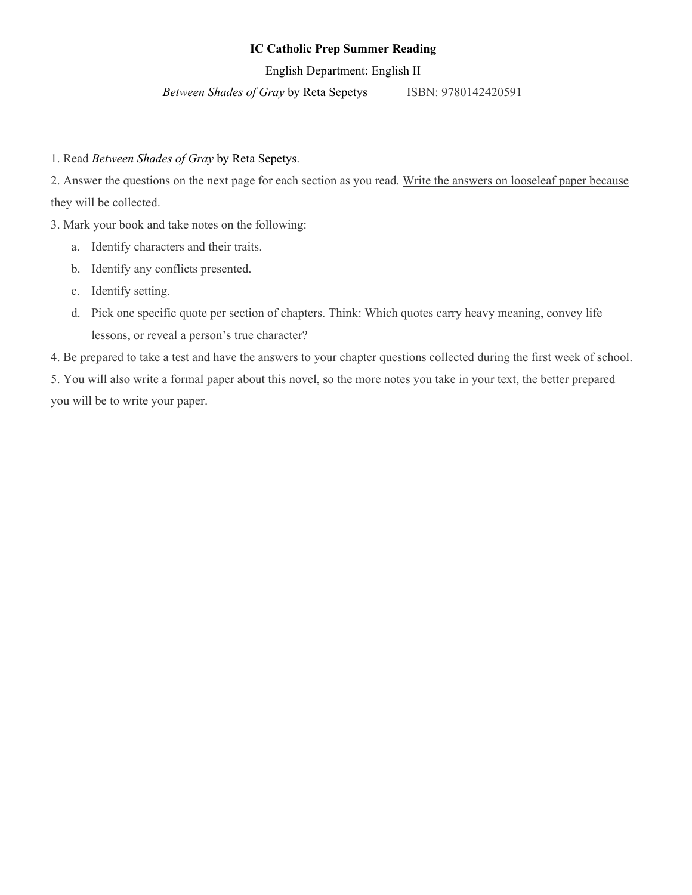# **IC Catholic Prep Summer Reading**

English Department: English II

*Between Shades of Gray* by Reta Sepetys ISBN: 9780142420591

1. Read *Between Shades of Gray* by Reta Sepetys.

2. Answer the questions on the next page for each section as you read. Write the answers on looseleaf paper because they will be collected.

3. Mark your book and take notes on the following:

- a. Identify characters and their traits.
- b. Identify any conflicts presented.
- c. Identify setting.
- d. Pick one specific quote per section of chapters. Think: Which quotes carry heavy meaning, convey life lessons, or reveal a person's true character?

4. Be prepared to take a test and have the answers to your chapter questions collected during the first week of school.

5. You will also write a formal paper about this novel, so the more notes you take in your text, the better prepared you will be to write your paper.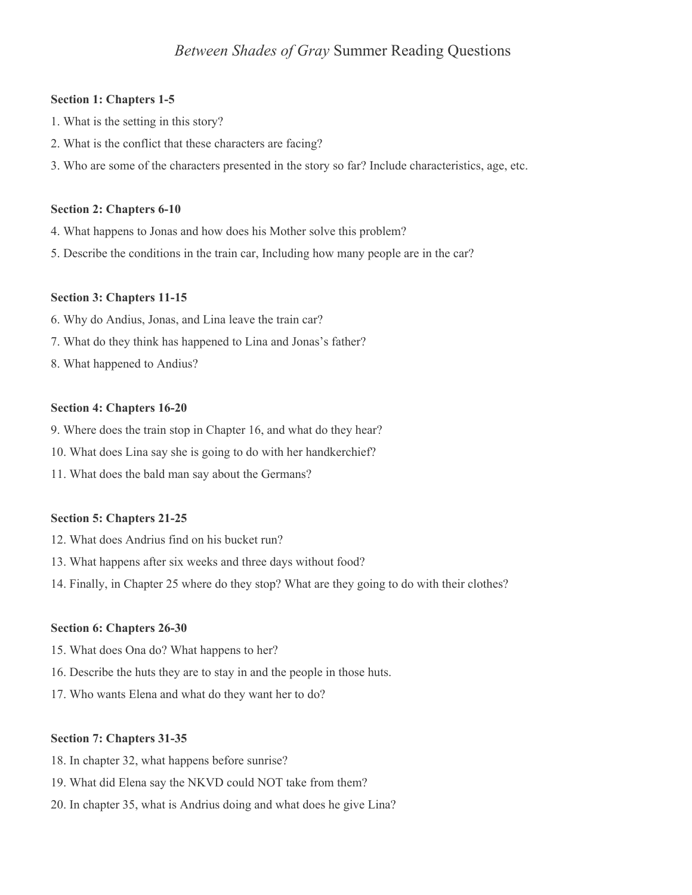# *Between Shades of Gray* Summer Reading Questions

# **Section 1: Chapters 1-5**

- 1. What is the setting in this story?
- 2. What is the conflict that these characters are facing?
- 3. Who are some of the characters presented in the story so far? Include characteristics, age, etc.

#### **Section 2: Chapters 6-10**

- 4. What happens to Jonas and how does his Mother solve this problem?
- 5. Describe the conditions in the train car, Including how many people are in the car?

# **Section 3: Chapters 11-15**

- 6. Why do Andius, Jonas, and Lina leave the train car?
- 7. What do they think has happened to Lina and Jonas's father?
- 8. What happened to Andius?

#### **Section 4: Chapters 16-20**

- 9. Where does the train stop in Chapter 16, and what do they hear?
- 10. What does Lina say she is going to do with her handkerchief?
- 11. What does the bald man say about the Germans?

# **Section 5: Chapters 21-25**

- 12. What does Andrius find on his bucket run?
- 13. What happens after six weeks and three days without food?
- 14. Finally, in Chapter 25 where do they stop? What are they going to do with their clothes?

# **Section 6: Chapters 26-30**

- 15. What does Ona do? What happens to her?
- 16. Describe the huts they are to stay in and the people in those huts.
- 17. Who wants Elena and what do they want her to do?

### **Section 7: Chapters 31-35**

- 18. In chapter 32, what happens before sunrise?
- 19. What did Elena say the NKVD could NOT take from them?
- 20. In chapter 35, what is Andrius doing and what does he give Lina?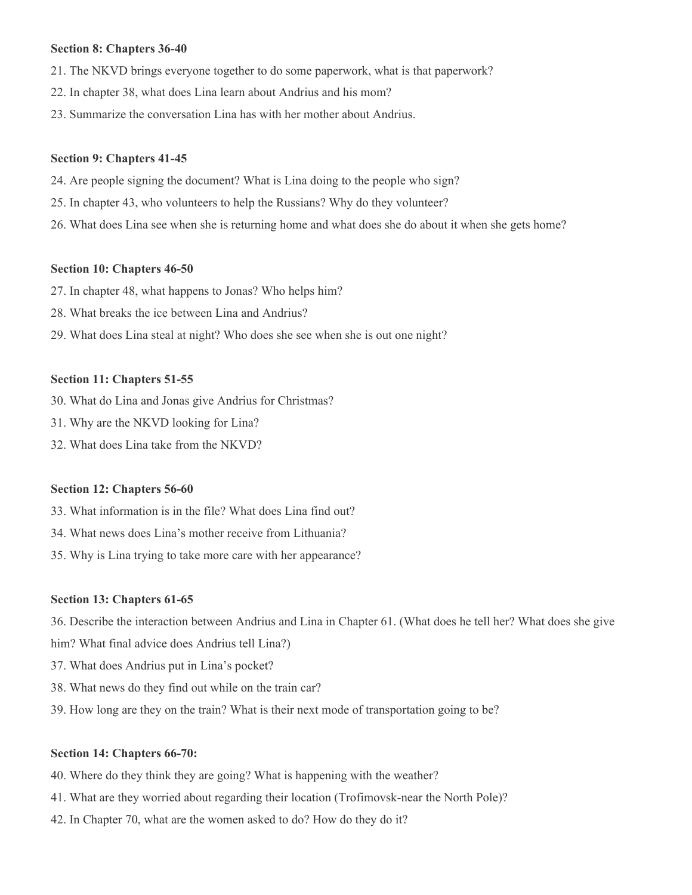#### **Section 8: Chapters 36-40**

- 21. The NKVD brings everyone together to do some paperwork, what is that paperwork?
- 22. In chapter 38, what does Lina learn about Andrius and his mom?
- 23. Summarize the conversation Lina has with her mother about Andrius.

#### **Section 9: Chapters 41-45**

- 24. Are people signing the document? What is Lina doing to the people who sign?
- 25. In chapter 43, who volunteers to help the Russians? Why do they volunteer?
- 26. What does Lina see when she is returning home and what does she do about it when she gets home?

#### **Section 10: Chapters 46-50**

- 27. In chapter 48, what happens to Jonas? Who helps him?
- 28. What breaks the ice between Lina and Andrius?
- 29. What does Lina steal at night? Who does she see when she is out one night?

#### **Section 11: Chapters 51-55**

- 30. What do Lina and Jonas give Andrius for Christmas?
- 31. Why are the NKVD looking for Lina?
- 32. What does Lina take from the NKVD?

### **Section 12: Chapters 56-60**

- 33. What information is in the file? What does Lina find out?
- 34. What news does Lina's mother receive from Lithuania?
- 35. Why is Lina trying to take more care with her appearance?

#### **Section 13: Chapters 61-65**

36. Describe the interaction between Andrius and Lina in Chapter 61. (What does he tell her? What does she give

- him? What final advice does Andrius tell Lina?)
- 37. What does Andrius put in Lina's pocket?
- 38. What news do they find out while on the train car?
- 39. How long are they on the train? What is their next mode of transportation going to be?

#### **Section 14: Chapters 66-70:**

- 40. Where do they think they are going? What is happening with the weather?
- 41. What are they worried about regarding their location (Trofimovsk-near the North Pole)?
- 42. In Chapter 70, what are the women asked to do? How do they do it?